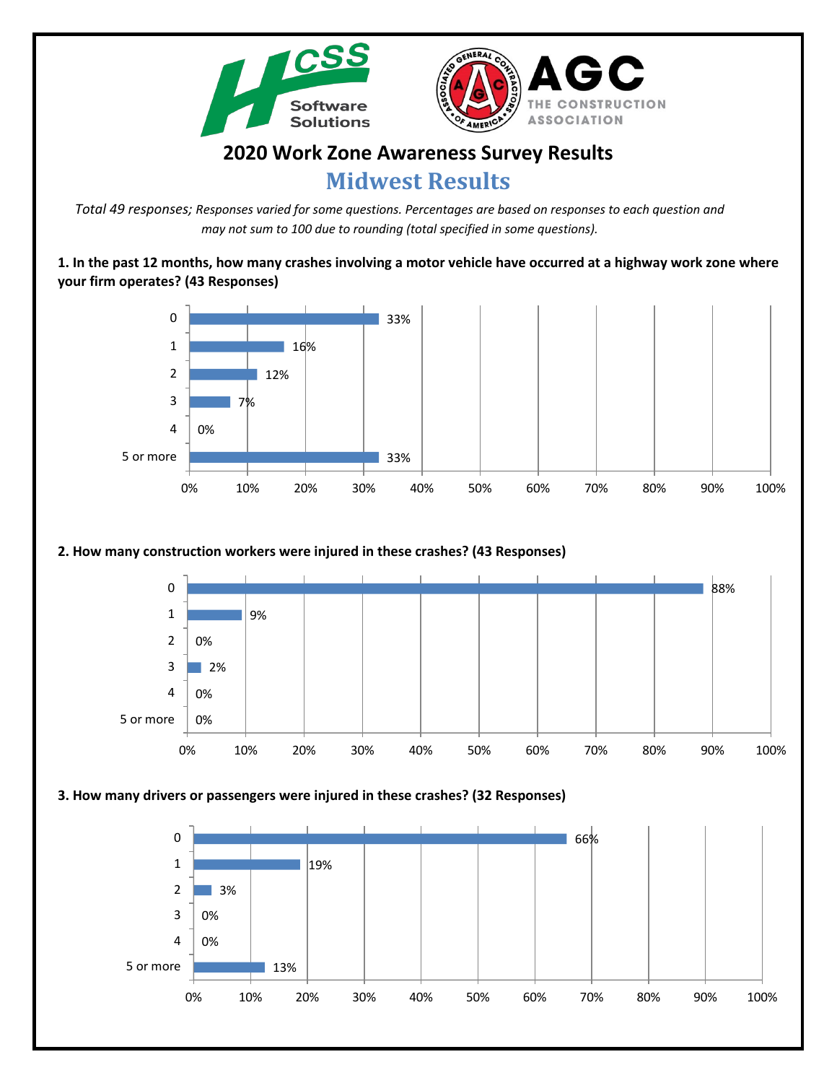



# **2020 Work Zone Awareness Survey Results Midwest Results**

*Total 49 responses; Responses varied for some questions. Percentages are based on responses to each question and may not sum to 100 due to rounding (total specified in some questions).*

**1. In the past 12 months, how many crashes involving a motor vehicle have occurred at a highway work zone where your firm operates? (43 Responses)**



## **2. How many construction workers were injured in these crashes? (43 Responses)**



#### **3. How many drivers or passengers were injured in these crashes? (32 Responses)**

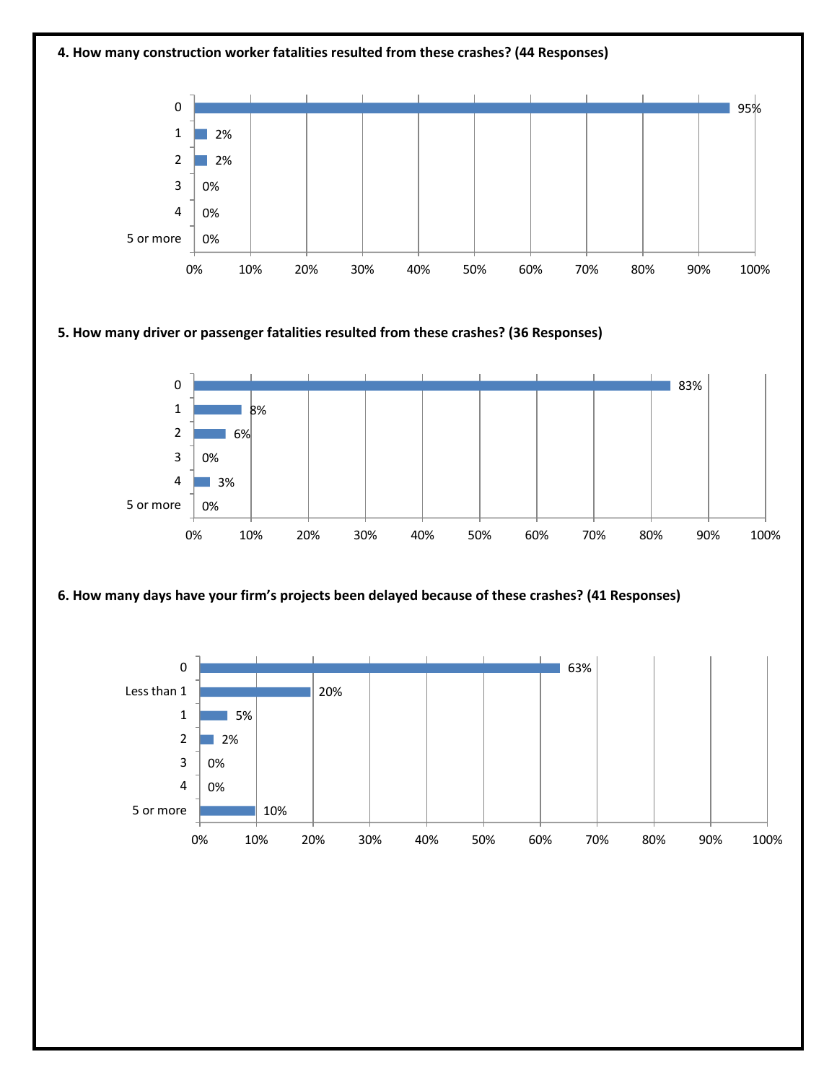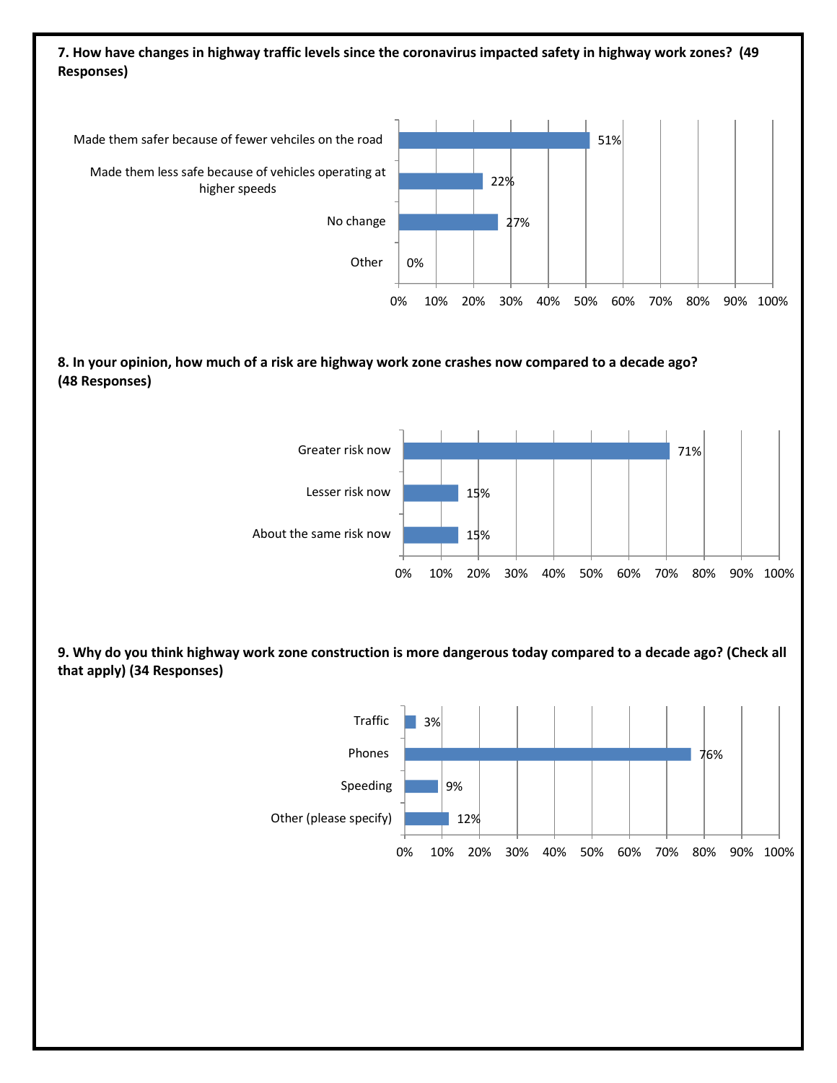# **7. How have changes in highway traffic levels since the coronavirus impacted safety in highway work zones? (49 Responses)**



## **8. In your opinion, how much of a risk are highway work zone crashes now compared to a decade ago? (48 Responses)**



**9. Why do you think highway work zone construction is more dangerous today compared to a decade ago? (Check all that apply) (34 Responses)**

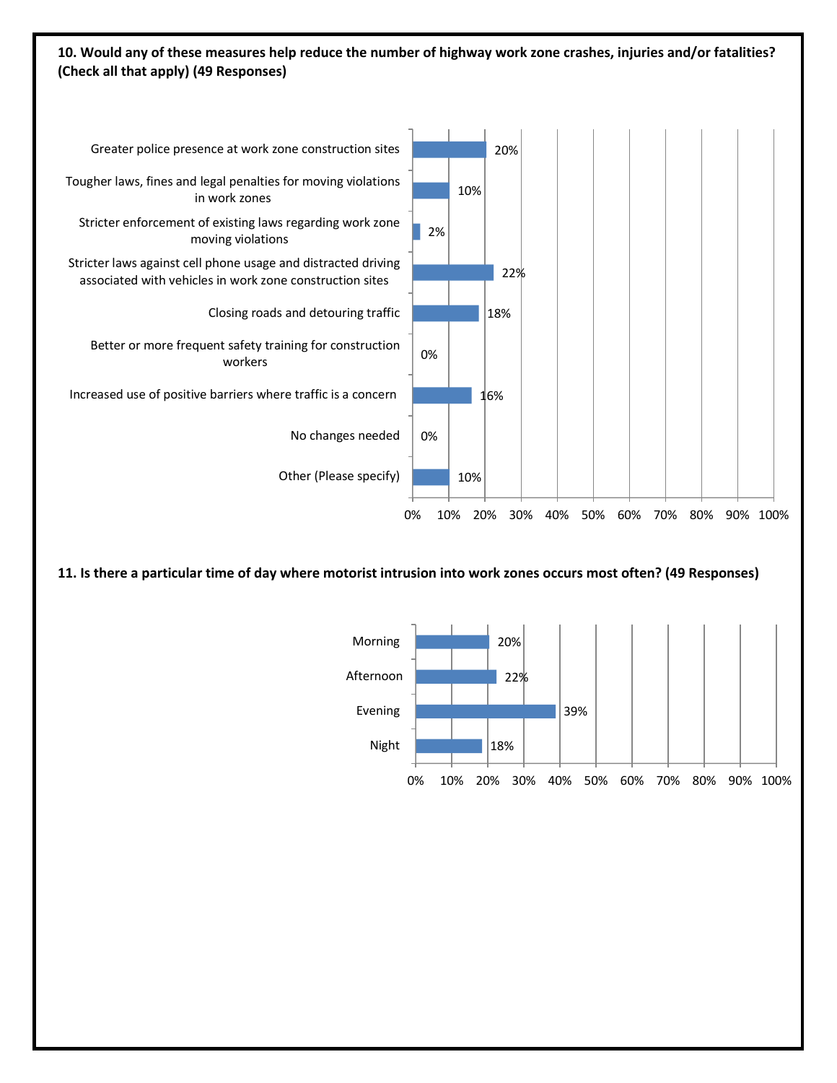# **10. Would any of these measures help reduce the number of highway work zone crashes, injuries and/or fatalities? (Check all that apply) (49 Responses)**



**11. Is there a particular time of day where motorist intrusion into work zones occurs most often? (49 Responses)**